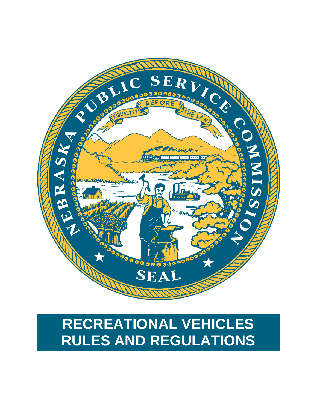

# **RECREATIONAL VEHICLES RULES AND REGULATIONS**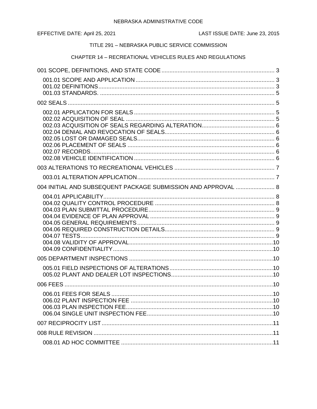EFFECTIVE DATE: April 25, 2021

## TITLE 291 - NEBRASKA PUBLIC SERVICE COMMISSION

## CHAPTER 14 - RECREATIONAL VEHICLES RULES AND REGULATIONS

| 004 INITIAL AND SUBSEQUENT PACKAGE SUBMISSION AND APPROVAL  8 |  |
|---------------------------------------------------------------|--|
|                                                               |  |
|                                                               |  |
|                                                               |  |
|                                                               |  |
|                                                               |  |
|                                                               |  |
|                                                               |  |
|                                                               |  |
|                                                               |  |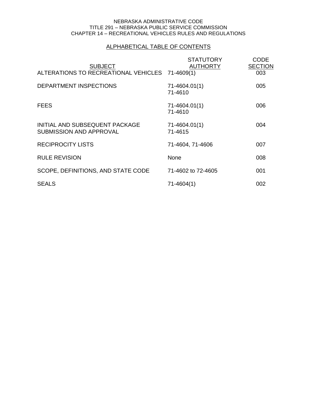## ALPHABETICAL TABLE OF CONTENTS

| <b>SUBJECT</b><br>ALTERATIONS TO RECREATIONAL VEHICLES 71-4609(1) | <b>STATUTORY</b><br><b>AUTHORTY</b> | <b>CODE</b><br><b>SECTION</b><br>003 |
|-------------------------------------------------------------------|-------------------------------------|--------------------------------------|
| DEPARTMENT INSPECTIONS                                            | 71-4604.01(1)<br>71-4610            | 005                                  |
| <b>FEES</b>                                                       | 71-4604.01(1)<br>71-4610            | 006                                  |
| INITIAL AND SUBSEQUENT PACKAGE<br><b>SUBMISSION AND APPROVAL</b>  | 71-4604.01(1)<br>71-4615            | 004                                  |
| <b>RECIPROCITY LISTS</b>                                          | 71-4604, 71-4606                    | 007                                  |
| <b>RULE REVISION</b>                                              | None                                | 008                                  |
| SCOPE, DEFINITIONS, AND STATE CODE                                | 71-4602 to 72-4605                  | 001                                  |
| <b>SEALS</b>                                                      | 71-4604(1)                          | 002                                  |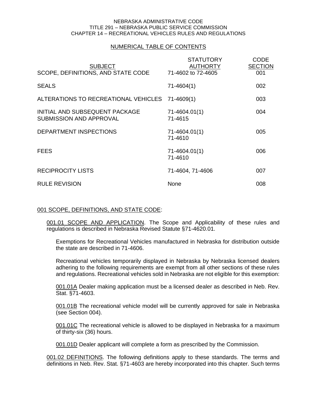## NUMERICAL TABLE OF CONTENTS

| <b>SUBJECT</b><br>SCOPE, DEFINITIONS, AND STATE CODE             | <b>STATUTORY</b><br><b>AUTHORTY</b><br>71-4602 to 72-4605 | <b>CODE</b><br><b>SECTION</b><br>001 |
|------------------------------------------------------------------|-----------------------------------------------------------|--------------------------------------|
| <b>SEALS</b>                                                     | $71-4604(1)$                                              | 002                                  |
| ALTERATIONS TO RECREATIONAL VEHICLES                             | $71 - 4609(1)$                                            | 003                                  |
| INITIAL AND SUBSEQUENT PACKAGE<br><b>SUBMISSION AND APPROVAL</b> | 71-4604.01(1)<br>71-4615                                  | 004                                  |
| <b>DEPARTMENT INSPECTIONS</b>                                    | 71-4604.01(1)<br>71-4610                                  | 005                                  |
| <b>FEES</b>                                                      | 71-4604.01(1)<br>71-4610                                  | 006                                  |
| <b>RECIPROCITY LISTS</b>                                         | 71-4604, 71-4606                                          | 007                                  |
| <b>RULE REVISION</b>                                             | None                                                      | 008                                  |

## <span id="page-3-0"></span>001 SCOPE, DEFINITIONS, AND STATE CODE:

<span id="page-3-1"></span>001.01 SCOPE AND APPLICATION. The Scope and Applicability of these rules and regulations is described in Nebraska Revised Statute §71-4620.01.

Exemptions for Recreational Vehicles manufactured in Nebraska for distribution outside the state are described in 71-4606.

Recreational vehicles temporarily displayed in Nebraska by Nebraska licensed dealers adhering to the following requirements are exempt from all other sections of these rules and regulations. Recreational vehicles sold in Nebraska are not eligible for this exemption:

001.01A Dealer making application must be a licensed dealer as described in Neb. Rev. Stat. §71-4603.

001.01B The recreational vehicle model will be currently approved for sale in Nebraska (see Section 004).

001.01C The recreational vehicle is allowed to be displayed in Nebraska for a maximum of thirty-six (36) hours.

001.01D Dealer applicant will complete a form as prescribed by the Commission.

<span id="page-3-2"></span>001.02 DEFINITIONS. The following definitions apply to these standards. The terms and definitions in Neb. Rev. Stat. §71-4603 are hereby incorporated into this chapter. Such terms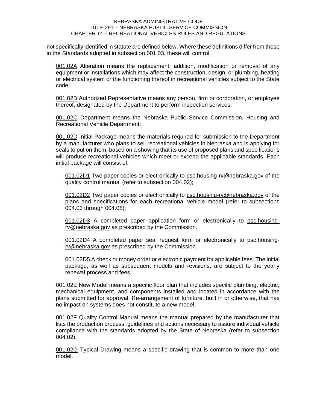not specifically identified in statute are defined below. Where these definitions differ from those in the Standards adopted in subsection 001.03, these will control.

001.02A Alteration means the replacement, addition, modification or removal of any equipment or installations which may affect the construction, design, or plumbing, heating or electrical system or the functioning thereof in recreational vehicles subject to the State code;

001.02B Authorized Representative means any person, firm or corporation, or employee thereof, designated by the Department to perform inspection services;

001.02C Department means the Nebraska Public Service Commission, Housing and Recreational Vehicle Department;

001.02D Initial Package means the materials required for submission to the Department by a manufacturer who plans to sell recreational vehicles in Nebraska and is applying for seals to put on them, based on a showing that its use of proposed plans and specifications will produce recreational vehicles which meet or exceed the applicable standards. Each initial package will consist of:

001.02D1 Two paper copies or electronically to [psc.housing-rv@nebraska.gov](mailto:psc.housing-rv@nebraska.gov) of the quality control manual (refer to subsection 004.02);

001.02D2 Two paper copies or electronically to psc.housing-rv@nebraska.gov of the plans and specifications for each recreational vehicle model (refer to subsections 004.03 through 004.08);

001.02D3 A completed paper application form or electronically to [psc.housing](mailto:psc.housing-rv@nebraska.gov)[rv@nebraska.gov](mailto:psc.housing-rv@nebraska.gov) as prescribed by the Commission.

001.02D4 A completed paper seal request form or electronically to [psc.housing](mailto:psc.housing-rv@nebraska.gov)[rv@nebraska.gov](mailto:psc.housing-rv@nebraska.gov) as prescribed by the Commission.

001.02D5 A check or money order or electronic payment for applicable fees. The initial package, as well as subsequent models and revisions, are subject to the yearly renewal process and fees.

001.02E New Model means a specific floor plan that includes specific plumbing, electric, mechanical equipment, and components installed and located in accordance with the plans submitted for approval. Re-arrangement of furniture, built in or otherwise, that has no impact on systems does not constitute a new model.

001.02F Quality Control Manual means the manual prepared by the manufacturer that lists the production process, guidelines and actions necessary to assure individual vehicle compliance with the standards adopted by the State of Nebraska (refer to subsection 004.02);

001.02G Typical Drawing means a specific drawing that is common to more than one model.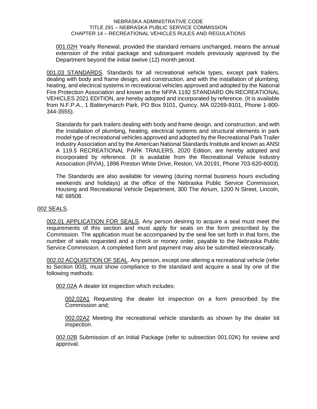001.02H Yearly Renewal, provided the standard remains unchanged, means the annual extension of the initial package and subsequent models previously approved by the Department beyond the initial twelve (12) month period.

<span id="page-5-0"></span>001.03 STANDARDS. Standards for all recreational vehicle types, except park trailers, dealing with body and frame design, and construction, and with the installation of plumbing, heating, and electrical systems in recreational vehicles approved and adopted by the National Fire Protection Association and known as the NFPA 1192 STANDARD ON RECREATIONAL VEHICLES 2021 EDITION, are hereby adopted and incorporated by reference. (It is available from N.F.P.A., 1 Batterymarch Park, PO Box 9101, Quincy, MA 02269-9101, Phone 1-800- 344-3555).

Standards for park trailers dealing with body and frame design, and construction, and with the installation of plumbing, heating, electrical systems and structural elements in park model type of recreational vehicles approved and adopted by the Recreational Park Trailer Industry Association and by the American National Standards Institute and known as ANSI A 119.5 RECREATIONAL PARK TRAILERS, 2020 Edition, are hereby adopted and incorporated by reference. (It is available from the Recreational Vehicle Industry Association (RVIA), 1896 Preston White Drive, Reston, VA 20191, Phone 703-620-6003).

The Standards are also available for viewing (during normal business hours excluding weekends and holidays) at the office of the Nebraska Public Service Commission, Housing and Recreational Vehicle Department, 300 The Atrium, 1200 N Street, Lincoln, NE 68508.

## <span id="page-5-1"></span>002 SEALS.

<span id="page-5-2"></span>002.01 APPLICATION FOR SEALS. Any person desiring to acquire a seal must meet the requirements of this section and must apply for seals on the form prescribed by the Commission. The application must be accompanied by the seal fee set forth in that form, the number of seals requested and a check or money order, payable to the Nebraska Public Service Commission. A completed form and payment may also be submitted electronically.

<span id="page-5-3"></span>002.02 ACQUISITION OF SEAL. Any person, except one altering a recreational vehicle (refer to Section 003), must show compliance to the standard and acquire a seal by one of the following methods:

002.02A A dealer lot inspection which includes:

002.02A1 Requesting the dealer lot inspection on a form prescribed by the Commission and;

002.02A2 Meeting the recreational vehicle standards as shown by the dealer lot inspection.

002.02B Submission of an Initial Package (refer to subsection 001.02K) for review and approval.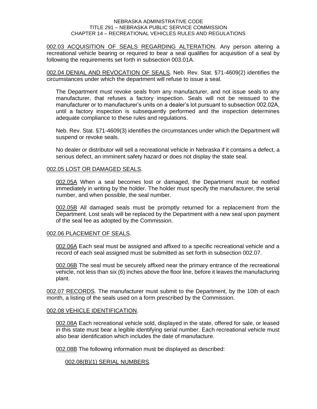<span id="page-6-0"></span>002.03 ACQUISITION OF SEALS REGARDING ALTERATION. Any person altering a recreational vehicle bearing or required to bear a seal qualifies for acquisition of a seal by following the requirements set forth in subsection 003.01A.

<span id="page-6-1"></span>002.04 DENIAL AND REVOCATION OF SEALS. Neb. Rev. Stat. §71-4609(2) identifies the circumstances under which the department will refuse to issue a seal.

The Department must revoke seals from any manufacturer, and not issue seals to any manufacturer, that refuses a factory inspection. Seals will not be reissued to the manufacturer or to manufacturer's units on a dealer's lot pursuant to subsection 002.02A, until a factory inspection is subsequently performed and the inspection determines adequate compliance to these rules and regulations.

Neb. Rev. Stat. §71-4609(3) identifies the circumstances under which the Department will suspend or revoke seals.

No dealer or distributor will sell a recreational vehicle in Nebraska if it contains a defect, a serious defect, an imminent safety hazard or does not display the state seal.

## <span id="page-6-2"></span>002.05 LOST OR DAMAGED SEALS.

002.05A When a seal becomes lost or damaged, the Department must be notified immediately in writing by the holder. The holder must specify the manufacturer, the serial number, and when possible, the seal number.

002.05B All damaged seals must be promptly returned for a replacement from the Department. Lost seals will be replaced by the Department with a new seal upon payment of the seal fee as adopted by the Commission.

## <span id="page-6-3"></span>002.06 PLACEMENT OF SEALS.

002.06A Each seal must be assigned and affixed to a specific recreational vehicle and a record of each seal assigned must be submitted as set forth in subsection 002.07.

002.06B The seal must be securely affixed near the primary entrance of the recreational vehicle, not less than six (6) inches above the floor line, before it leaves the manufacturing plant.

<span id="page-6-4"></span>002.07 RECORDS. The manufacturer must submit to the Department, by the 10th of each month, a listing of the seals used on a form prescribed by the Commission.

## <span id="page-6-5"></span>002.08 VEHICLE IDENTIFICATION.

002.08A Each recreational vehicle sold, displayed in the state, offered for sale, or leased in this state must bear a legible identifying serial number. Each recreational vehicle must also bear identification which includes the date of manufacture.

002.08B The following information must be displayed as described:

002.08(B)(1) SERIAL NUMBERS.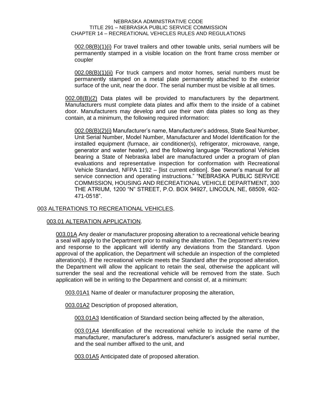002.08(B)(1)(i) For travel trailers and other towable units, serial numbers will be permanently stamped in a visible location on the front frame cross member or coupler

002.08(B)(1)(ii) For truck campers and motor homes, serial numbers must be permanently stamped on a metal plate permanently attached to the exterior surface of the unit, near the door. The serial number must be visible at all times.

002.08(B)(2) Data plates will be provided to manufacturers by the department. Manufacturers must complete data plates and affix them to the inside of a cabinet door. Manufacturers may develop and use their own data plates so long as they contain, at a minimum, the following required information:

002.08(B)(2)(i) Manufacturer's name, Manufacturer's address, State Seal Number, Unit Serial Number, Model Number, Manufacturer and Model Identification for the installed equipment (furnace, air conditioner(s), refrigerator, microwave, range, generator and water heater), and the following language "Recreational Vehicles bearing a State of Nebraska label are manufactured under a program of plan evaluations and representative inspection for conformation with Recreational Vehicle Standard, NFPA 1192 – [list current edition]. See owner's manual for all service connection and operating instructions." "NEBRASKA PUBLIC SERVICE COMMISSION, HOUSING AND RECREATIONAL VEHICLE DEPARTMENT, 300 THE ATRIUM, 1200 "N" STREET, P.O. BOX 94927, LINCOLN, NE, 68509, 402- 471-0518".

## <span id="page-7-0"></span>003 ALTERATIONS TO RECREATIONAL VEHICLES.

## <span id="page-7-1"></span>003.01 ALTERATION APPLICATION.

003.01A Any dealer or manufacturer proposing alteration to a recreational vehicle bearing a seal will apply to the Department prior to making the alteration. The Department's review and response to the applicant will identify any deviations from the Standard. Upon approval of the application, the Department will schedule an inspection of the completed alteration(s). If the recreational vehicle meets the Standard after the proposed alteration, the Department will allow the applicant to retain the seal, otherwise the applicant will surrender the seal and the recreational vehicle will be removed from the state. Such application will be in writing to the Department and consist of, at a minimum:

003.01A1 Name of dealer or manufacturer proposing the alteration,

003.01A2 Description of proposed alteration,

003.01A3 Identification of Standard section being affected by the alteration,

003.01A4 Identification of the recreational vehicle to include the name of the manufacturer, manufacturer's address, manufacturer's assigned serial number, and the seal number affixed to the unit, and

003.01A5 Anticipated date of proposed alteration.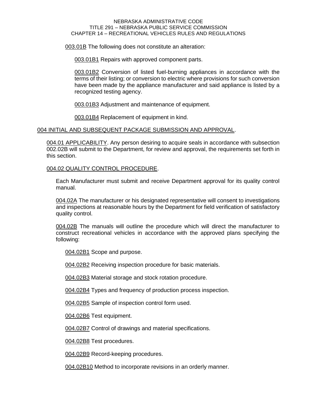003.01B The following does not constitute an alteration:

003.01B1 Repairs with approved component parts.

003.01B2 Conversion of listed fuel-burning appliances in accordance with the terms of their listing; or conversion to electric where provisions for such conversion have been made by the appliance manufacturer and said appliance is listed by a recognized testing agency.

003.01B3 Adjustment and maintenance of equipment.

003.01B4 Replacement of equipment in kind.

## <span id="page-8-0"></span>004 INITIAL AND SUBSEQUENT PACKAGE SUBMISSION AND APPROVAL.

<span id="page-8-1"></span>004.01 APPLICABILITY. Any person desiring to acquire seals in accordance with subsection 002.02B will submit to the Department, for review and approval, the requirements set forth in this section.

## <span id="page-8-2"></span>004.02 QUALITY CONTROL PROCEDURE.

Each Manufacturer must submit and receive Department approval for its quality control manual.

004.02A The manufacturer or his designated representative will consent to investigations and inspections at reasonable hours by the Department for field verification of satisfactory quality control.

004.02B The manuals will outline the procedure which will direct the manufacturer to construct recreational vehicles in accordance with the approved plans specifying the following:

004.02B1 Scope and purpose.

004.02B2 Receiving inspection procedure for basic materials.

004.02B3 Material storage and stock rotation procedure.

004.02B4 Types and frequency of production process inspection.

004.02B5 Sample of inspection control form used.

004.02B6 Test equipment.

004.02B7 Control of drawings and material specifications.

004.02B8 Test procedures.

004.02B9 Record-keeping procedures.

004.02B10 Method to incorporate revisions in an orderly manner.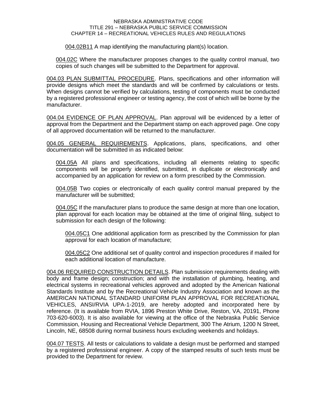004.02B11 A map identifying the manufacturing plant(s) location.

004.02C Where the manufacturer proposes changes to the quality control manual, two copies of such changes will be submitted to the Department for approval.

<span id="page-9-0"></span>004.03 PLAN SUBMITTAL PROCEDURE. Plans, specifications and other information will provide designs which meet the standards and will be confirmed by calculations or tests. When designs cannot be verified by calculations, testing of components must be conducted by a registered professional engineer or testing agency, the cost of which will be borne by the manufacturer.

<span id="page-9-1"></span>004.04 EVIDENCE OF PLAN APPROVAL. Plan approval will be evidenced by a letter of approval from the Department and the Department stamp on each approved page. One copy of all approved documentation will be returned to the manufacturer.

<span id="page-9-2"></span>004.05 GENERAL REQUIREMENTS. Applications, plans, specifications, and other documentation will be submitted in as indicated below:

004.05A All plans and specifications, including all elements relating to specific components will be properly identified, submitted, in duplicate or electronically and accompanied by an application for review on a form prescribed by the Commission.

004.05B Two copies or electronically of each quality control manual prepared by the manufacturer will be submitted;

004.05C If the manufacturer plans to produce the same design at more than one location, plan approval for each location may be obtained at the time of original filing, subject to submission for each design of the following:

004.05C1 One additional application form as prescribed by the Commission for plan approval for each location of manufacture;

004.05C2 One additional set of quality control and inspection procedures if mailed for each additional location of manufacture.

<span id="page-9-3"></span>004.06 REQUIRED CONSTRUCTION DETAILS. Plan submission requirements dealing with body and frame design; construction; and with the installation of plumbing, heating, and electrical systems in recreational vehicles approved and adopted by the American National Standards Institute and by the Recreational Vehicle Industry Association and known as the AMERICAN NATIONAL STANDARD UNIFORM PLAN APPROVAL FOR RECREATIONAL VEHICLES, ANSI/RVIA UPA-1-2019, are hereby adopted and incorporated here by reference. (It is available from RVIA, 1896 Preston White Drive, Reston, VA, 20191, Phone 703-620-6003). It is also available for viewing at the office of the Nebraska Public Service Commission, Housing and Recreational Vehicle Department, 300 The Atrium, 1200 N Street, Lincoln, NE, 68508 during normal business hours excluding weekends and holidays.

<span id="page-9-4"></span>004.07 TESTS. All tests or calculations to validate a design must be performed and stamped by a registered professional engineer. A copy of the stamped results of such tests must be provided to the Department for review.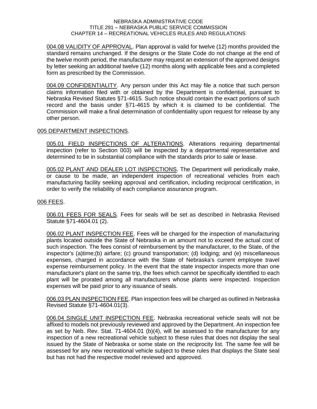<span id="page-10-0"></span>004.08 VALIDITY OF APPROVAL. Plan approval is valid for twelve (12) months provided the standard remains unchanged. If the designs or the State Code do not change at the end of the twelve month period, the manufacturer may request an extension of the approved designs by letter seeking an additional twelve (12) months along with applicable fees and a completed form as prescribed by the Commission.

<span id="page-10-1"></span>004.09 CONFIDENTIALITY. Any person under this Act may file a notice that such person claims information filed with or obtained by the Department is confidential, pursuant to Nebraska Revised Statutes §71-4615. Such notice should contain the exact portions of such record and the basis under §71-4615 by which it is claimed to be confidential. The Commission will make a final determination of confidentiality upon request for release by any other person.

## <span id="page-10-2"></span>005 DEPARTMENT INSPECTIONS.

<span id="page-10-3"></span>005.01 FIELD INSPECTIONS OF ALTERATIONS. Alterations requiring departmental inspection (refer to Section 003) will be inspected by a departmental representative and determined to be in substantial compliance with the standards prior to sale or lease.

<span id="page-10-4"></span>005.02 PLANT AND DEALER LOT INSPECTIONS. The Department will periodically make, or cause to be made, an independent inspection of recreational vehicles from each manufacturing facility seeking approval and certification, including reciprocal certification, in order to verify the reliability of each compliance assurance program.

## <span id="page-10-5"></span>006 FEES.

<span id="page-10-6"></span>006.01 FEES FOR SEALS. Fees for seals will be set as described in Nebraska Revised Statute §71-4604.01 (2).

<span id="page-10-7"></span>006.02 PLANT INSPECTION FEE. Fees will be charged for the inspection of manufacturing plants located outside the State of Nebraska in an amount not to exceed the actual cost of such inspection. The fees consist of reimbursement by the manufacturer, to the State, of the inspector's (a)time;(b) airfare; (c) ground transportation; (d) lodging; and (e) miscellaneous expenses, charged in accordance with the State of Nebraska's current employee travel expense reimbursement policy. In the event that the state inspector inspects more than one manufacturer's plant on the same trip, the fees which cannot be specifically identified to each plant will be prorated among all manufacturers whose plants were inspected. Inspection expenses will be paid prior to any issuance of seals.

<span id="page-10-8"></span>006.03 PLAN INSPECTION FEE. Plan inspection fees will be charged as outlined in Nebraska Revised Statute §71-4604.01(3).

<span id="page-10-9"></span>006.04 SINGLE UNIT INSPECTION FEE. Nebraska recreational vehicle seals will not be affixed to models not previously reviewed and approved by the Department. An inspection fee as set by Neb. Rev. Stat. 71-4604.01 (b)(4), will be assessed to the manufacturer for any inspection of a new recreational vehicle subject to these rules that does not display the seal issued by the State of Nebraska or some state on the reciprocity list. The same fee will be assessed for any new recreational vehicle subject to these rules that displays the State seal but has not had the respective model reviewed and approved.